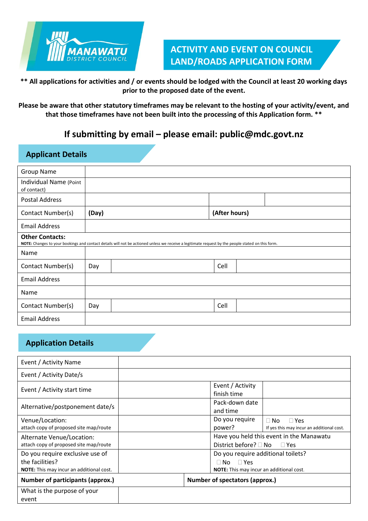

# **ACTIVITY AND EVENT ON COUNCIL LAND/ROADS APPLICATION FORM**

**\*\* All applications for activities and / or events should be lodged with the Council at least 20 working days prior to the proposed date of the event.**

**Please be aware that other statutory timeframes may be relevant to the hosting of your activity/event, and that those timeframes have not been built into the processing of this Application form. \*\***

## **If submitting by email – please email: public@mdc.govt.nz**

| <b>Applicant Details</b>              |       |                                                                                                                                                   |               |  |  |
|---------------------------------------|-------|---------------------------------------------------------------------------------------------------------------------------------------------------|---------------|--|--|
| <b>Group Name</b>                     |       |                                                                                                                                                   |               |  |  |
| Individual Name (Point<br>of contact) |       |                                                                                                                                                   |               |  |  |
| <b>Postal Address</b>                 |       |                                                                                                                                                   |               |  |  |
| Contact Number(s)                     | (Day) |                                                                                                                                                   | (After hours) |  |  |
| <b>Email Address</b>                  |       |                                                                                                                                                   |               |  |  |
| <b>Other Contacts:</b>                |       | NOTE: Changes to your bookings and contact details will not be actioned unless we receive a legitimate request by the people stated on this form. |               |  |  |
| Name                                  |       |                                                                                                                                                   |               |  |  |
| Contact Number(s)                     | Day   |                                                                                                                                                   | Cell          |  |  |
| <b>Email Address</b>                  |       |                                                                                                                                                   |               |  |  |
| Name                                  |       |                                                                                                                                                   |               |  |  |
| Contact Number(s)                     | Day   |                                                                                                                                                   | Cell          |  |  |
| <b>Email Address</b>                  |       |                                                                                                                                                   |               |  |  |

## **Application Details**

| Event / Activity Name                                                                          |                                                                                                  |
|------------------------------------------------------------------------------------------------|--------------------------------------------------------------------------------------------------|
| Event / Activity Date/s                                                                        |                                                                                                  |
| Event / Activity start time                                                                    | Event / Activity<br>finish time                                                                  |
| Alternative/postponement date/s                                                                | Pack-down date<br>and time                                                                       |
| Venue/Location:<br>attach copy of proposed site map/route                                      | Do you require<br>$\Box$ No<br>$\Box$ Yes<br>power?<br>If yes this may incur an additional cost. |
| Alternate Venue/Location:<br>attach copy of proposed site map/route                            | Have you held this event in the Manawatu<br>District before? $\Box$ No<br>$\Box$ Yes             |
| Do you require exclusive use of<br>the facilities?<br>NOTE: This may incur an additional cost. | Do you require additional toilets?<br>$\Box$ Yes<br>∏ No                                         |
| <b>Number of participants (approx.)</b>                                                        | <b>NOTE:</b> This may incur an additional cost.<br><b>Number of spectators (approx.)</b>         |
| What is the purpose of your<br>event                                                           |                                                                                                  |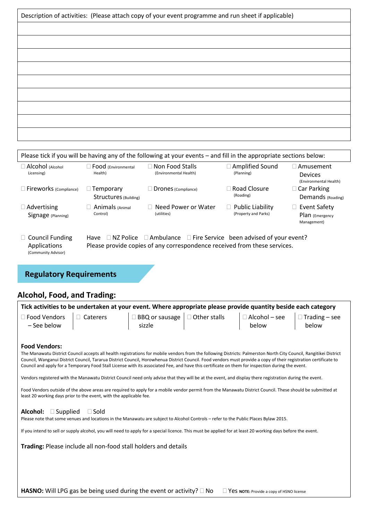| Description of activities: (Please attach copy of your event programme and run sheet if applicable) |
|-----------------------------------------------------------------------------------------------------|
|                                                                                                     |
|                                                                                                     |
|                                                                                                     |
|                                                                                                     |
|                                                                                                     |
|                                                                                                     |
|                                                                                                     |
|                                                                                                     |
|                                                                                                     |
|                                                                                                     |

|                                                               |                                           | Please tick if you will be having any of the following at your events – and fill in the appropriate sections below: |                                                 |                                                                         |  |
|---------------------------------------------------------------|-------------------------------------------|---------------------------------------------------------------------------------------------------------------------|-------------------------------------------------|-------------------------------------------------------------------------|--|
| $\Box$ Alcohol (Alcohol<br>Licensing)                         | Food (Environmental<br>Health)            | Non Food Stalls<br>(Environmental Health)                                                                           | <b>Amplified Sound</b><br>(Planning)            | $\sqcap$ Amusement $\sqcap$<br><b>Devices</b><br>(Environmental Health) |  |
| $\Box$ Fireworks (Compliance)                                 | $\Box$ Temporary<br>Structures (Building) | Drones (Compliance)                                                                                                 | Road Closure<br>(Roading)                       | $\Box$ Car Parking<br>Demands (Roading)                                 |  |
| $\Box$ Advertising<br>Signage (Planning)                      | Animals (Animal<br>Control)               | Need Power or Water<br>(utilities)                                                                                  | <b>Public Liability</b><br>(Property and Parks) | □ Event Safety<br>Plan (Emergency<br>Management)                        |  |
| $\Box$ Council Funding<br>Applications<br>(Community Advisor) | Have<br>NZ Police                         | $\Box$ Ambulance<br>Please provide copies of any correspondence received from these services.                       | $\Box$ Fire Service been advised of your event? |                                                                         |  |
|                                                               |                                           |                                                                                                                     |                                                 |                                                                         |  |

## **Regulatory Requirements**

## **Alcohol, Food, and Trading:**

|                                                   |                                                                    | Tick activities to be undertaken at your event. Where appropriate please provide quantity beside each category                                                                                                                                                                                                                                                                                                                                                                                                                                                                                                                                                                                                                                                                                                     |  |  |
|---------------------------------------------------|--------------------------------------------------------------------|--------------------------------------------------------------------------------------------------------------------------------------------------------------------------------------------------------------------------------------------------------------------------------------------------------------------------------------------------------------------------------------------------------------------------------------------------------------------------------------------------------------------------------------------------------------------------------------------------------------------------------------------------------------------------------------------------------------------------------------------------------------------------------------------------------------------|--|--|
|                                                   |                                                                    | $\Box$ Food Vendors $\Box$ Caterers $\Box$ BBQ or sausage $\Box$ Other stalls $\Box$ Alcohol – see $\Box$ Trading – see sizzle                                                                                                                                                                                                                                                                                                                                                                                                                                                                                                                                                                                                                                                                                     |  |  |
| <b>Food Vendors:</b>                              | least 20 working days prior to the event, with the applicable fee. | The Manawatu District Council accepts all health registrations for mobile vendors from the following Districts: Palmerston North City Council, Rangitikei District<br>Council, Wanganui District Council, Tararua District Council, Horowhenua District Council. Food vendors must provide a copy of their registration certificate to<br>Council and apply for a Temporary Food Stall License with its associated Fee, and have this certificate on them for inspection during the event.<br>Vendors registered with the Manawatu District Council need only advise that they will be at the event, and display there registration during the event.<br>Food Vendors outside of the above areas are required to apply for a mobile vendor permit from the Manawatu District Council. These should be submitted at |  |  |
| <b>Alcohol:</b> $\square$ Supplied $\square$ Sold |                                                                    | Please note that some venues and locations in the Manawatu are subject to Alcohol Controls - refer to the Public Places Bylaw 2015.<br>If you intend to sell or supply alcohol, you will need to apply for a special licence. This must be applied for at least 20 working days before the event.                                                                                                                                                                                                                                                                                                                                                                                                                                                                                                                  |  |  |
|                                                   |                                                                    | Trading: Please include all non-food stall holders and details                                                                                                                                                                                                                                                                                                                                                                                                                                                                                                                                                                                                                                                                                                                                                     |  |  |
|                                                   |                                                                    |                                                                                                                                                                                                                                                                                                                                                                                                                                                                                                                                                                                                                                                                                                                                                                                                                    |  |  |
|                                                   |                                                                    |                                                                                                                                                                                                                                                                                                                                                                                                                                                                                                                                                                                                                                                                                                                                                                                                                    |  |  |

HASNO: Will LPG gas be being used during the event or activity? □ No □ Yes **NOTE:** Provide a copy of HSNO license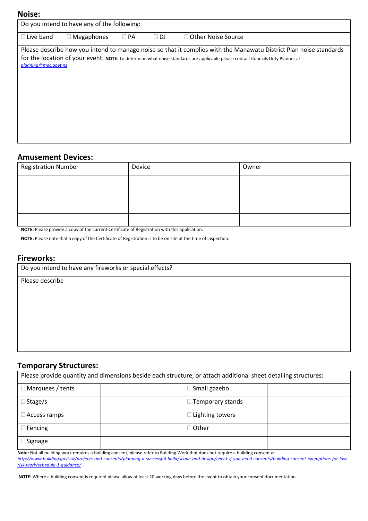#### **Noise:**

| Do you intend to have any of the following:<br>$\Box$ Live band<br>$\sqsupset$ Other Noise Source<br>$\Box$ Megaphones<br>$\Box$ PA<br>$\Box$ DJ<br>Please describe how you intend to manage noise so that it complies with the Manawatu District Plan noise standards<br>for the location of your event. NOTE: To determine what noise standards are applicable please contact Councils Duty Planner at<br>planning@mdc.govt.nz | IVUIJE. |  |  |
|----------------------------------------------------------------------------------------------------------------------------------------------------------------------------------------------------------------------------------------------------------------------------------------------------------------------------------------------------------------------------------------------------------------------------------|---------|--|--|
|                                                                                                                                                                                                                                                                                                                                                                                                                                  |         |  |  |
|                                                                                                                                                                                                                                                                                                                                                                                                                                  |         |  |  |
|                                                                                                                                                                                                                                                                                                                                                                                                                                  |         |  |  |

#### **Amusement Devices:**

| <b>Registration Number</b> | Device | Owner |
|----------------------------|--------|-------|
|                            |        |       |
|                            |        |       |
|                            |        |       |
|                            |        |       |

**NOTE:** Please provide a copy of the current Certificate of Registration with this application.

**NOTE:** Please note that a copy of the Certificate of Registration is to be on site at the time of inspection.

#### **Fireworks:**

| Do you intend to have any fireworks or special effects? |
|---------------------------------------------------------|
| Please describe                                         |
|                                                         |
|                                                         |
|                                                         |
|                                                         |
|                                                         |
|                                                         |

### **Temporary Structures:**

|                         | Please provide quantity and dimensions beside each structure, or attach additional sheet detailing structures: |                        |  |
|-------------------------|----------------------------------------------------------------------------------------------------------------|------------------------|--|
| $\Box$ Marquees / tents |                                                                                                                | $\Box$ Small gazebo    |  |
| $\Box$ Stage/s          |                                                                                                                | Temporary stands       |  |
| $\Box$ Access ramps     |                                                                                                                | $\Box$ Lighting towers |  |
| $\Box$ Fencing          |                                                                                                                | $\Box$ Other           |  |
| $\Box$ Signage          |                                                                                                                |                        |  |

**Note:** Not all building work requires a building consent, please refer to Building Work that does not require a building consent at *[http://www.building.govt.nz/projects-and-consents/planning-a-successful-build/scope-and-design/check-if-you-need-consents/building-consent-exemptions-for-low](http://www.building.govt.nz/projects-and-consents/planning-a-successful-build/scope-and-design/check-if-you-need-consents/building-consent-exemptions-for-low-risk-work/schedule-1-guidance/)[risk-work/schedule-1-guidance/](http://www.building.govt.nz/projects-and-consents/planning-a-successful-build/scope-and-design/check-if-you-need-consents/building-consent-exemptions-for-low-risk-work/schedule-1-guidance/)* .

**NOTE:** Where a building consent is required please allow at least 20 working days before the event to obtain your consent documentation.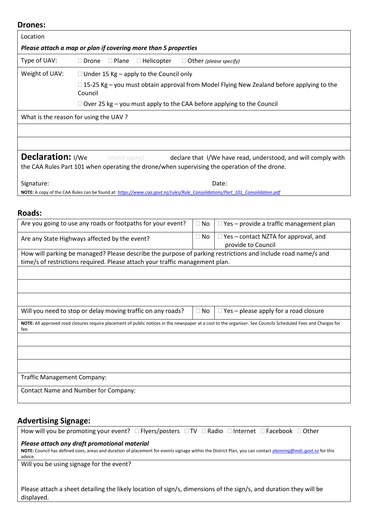#### **Drones:**

| <b>Drones:</b>                                                                                                                  |                                                                              |                                                |           |                                                                                                                                                               |
|---------------------------------------------------------------------------------------------------------------------------------|------------------------------------------------------------------------------|------------------------------------------------|-----------|---------------------------------------------------------------------------------------------------------------------------------------------------------------|
| Location                                                                                                                        |                                                                              |                                                |           |                                                                                                                                                               |
|                                                                                                                                 | Please attach a map or plan if covering more than 5 properties               |                                                |           |                                                                                                                                                               |
| Type of UAV:                                                                                                                    | $\Box$ Drone<br>$\square$ Plane                                              | $\Box$ Helicopter                              |           | $\Box$ Other (please specify)                                                                                                                                 |
| Weight of UAV:                                                                                                                  |                                                                              | $\Box$ Under 15 Kg – apply to the Council only |           |                                                                                                                                                               |
|                                                                                                                                 | Council                                                                      |                                                |           | $\Box$ 15-25 Kg – you must obtain approval from Model Flying New Zealand before applying to the                                                               |
|                                                                                                                                 |                                                                              |                                                |           | $\Box$ Over 25 kg – you must apply to the CAA before applying to the Council                                                                                  |
|                                                                                                                                 | What is the reason for using the UAV?                                        |                                                |           |                                                                                                                                                               |
|                                                                                                                                 |                                                                              |                                                |           |                                                                                                                                                               |
|                                                                                                                                 |                                                                              |                                                |           |                                                                                                                                                               |
| Declaration: I/We                                                                                                               |                                                                              |                                                |           |                                                                                                                                                               |
|                                                                                                                                 | (insert name)                                                                |                                                |           | declare that I/We have read, understood, and will comply with<br>the CAA Rules Part 101 when operating the drone/when supervising the operation of the drone. |
|                                                                                                                                 |                                                                              |                                                |           |                                                                                                                                                               |
| Signature:                                                                                                                      |                                                                              |                                                |           | Date:                                                                                                                                                         |
|                                                                                                                                 |                                                                              |                                                |           | NOTE: A copy of the CAA Rules can be found at: https://www.caa.govt.nz/rules/Rule_Consolidations/Part_101_Consolidation.pdf                                   |
|                                                                                                                                 |                                                                              |                                                |           |                                                                                                                                                               |
| <b>Roads:</b>                                                                                                                   |                                                                              |                                                |           |                                                                                                                                                               |
|                                                                                                                                 | Are you going to use any roads or footpaths for your event?                  |                                                | $\Box$ No | □ Yes - provide a traffic management plan                                                                                                                     |
| $\Box$ Yes – contact NZTA for approval, and<br>$\Box$ No<br>Are any State Highways affected by the event?<br>provide to Council |                                                                              |                                                |           |                                                                                                                                                               |
|                                                                                                                                 |                                                                              |                                                |           | How will parking be managed? Please describe the purpose of parking restrictions and include road name/s and                                                  |
|                                                                                                                                 | time/s of restrictions required. Please attach your traffic management plan. |                                                |           |                                                                                                                                                               |
|                                                                                                                                 |                                                                              |                                                |           |                                                                                                                                                               |
|                                                                                                                                 |                                                                              |                                                |           |                                                                                                                                                               |
|                                                                                                                                 |                                                                              |                                                |           |                                                                                                                                                               |
|                                                                                                                                 | Will you need to stop or delay moving traffic on any roads?                  |                                                | $\Box$ No | $\Box$ Yes – please apply for a road closure                                                                                                                  |
| fee.                                                                                                                            |                                                                              |                                                |           | NOTE: All approved road closures require placement of public notices in the newspaper at a cost to the organiser. See Councils Scheduled Fees and Charges for |
|                                                                                                                                 |                                                                              |                                                |           |                                                                                                                                                               |
|                                                                                                                                 |                                                                              |                                                |           |                                                                                                                                                               |
|                                                                                                                                 |                                                                              |                                                |           |                                                                                                                                                               |
| <b>Traffic Management Company:</b>                                                                                              |                                                                              |                                                |           |                                                                                                                                                               |
|                                                                                                                                 |                                                                              |                                                |           |                                                                                                                                                               |
|                                                                                                                                 | Contact Name and Number for Company:                                         |                                                |           |                                                                                                                                                               |
|                                                                                                                                 |                                                                              |                                                |           |                                                                                                                                                               |

## **Advertising Signage:**

| Advertising Signage:                                                                                                                                                   |
|------------------------------------------------------------------------------------------------------------------------------------------------------------------------|
| How will you be promoting your event? $\square$ Flyers/posters $\square$ TV $\square$ Radio $\square$ Internet $\square$ Facebook $\square$ Other                      |
| Please attach any draft promotional material                                                                                                                           |
| NOTE: Council has defined sizes, areas and duration of placement for events signage within the District Plan, you can contact planning@mdc.govt.nz for this<br>advice. |
| Will you be using signage for the event?                                                                                                                               |
|                                                                                                                                                                        |
| Please attach a sheet detailing the likely location of sign/s, dimensions of the sign/s, and duration they will be<br>displayed.                                       |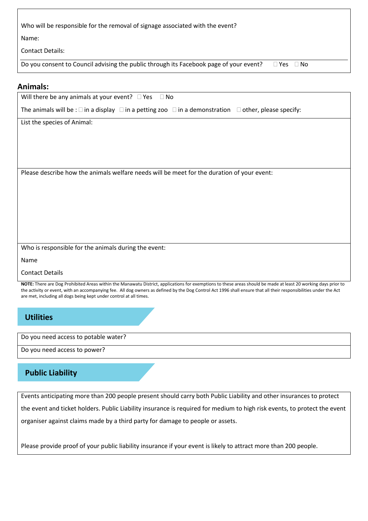| Who will be responsible for the removal of signage associated with the event?                                  |
|----------------------------------------------------------------------------------------------------------------|
| Name:                                                                                                          |
| <b>Contact Details:</b>                                                                                        |
| Do you consent to Council advising the public through its Facebook page of your event?<br>$\Box$ Yes $\Box$ No |

#### **Animals:**

| AIIIIIais.                                                                                                                            |
|---------------------------------------------------------------------------------------------------------------------------------------|
| Will there be any animals at your event? $\Box$ Yes $\Box$ No                                                                         |
| The animals will be : $\square$ in a display $\square$ in a petting zoo $\square$ in a demonstration $\square$ other, please specify: |
| List the species of Animal:                                                                                                           |
|                                                                                                                                       |
|                                                                                                                                       |
|                                                                                                                                       |
|                                                                                                                                       |
| Please describe how the animals welfare needs will be meet for the duration of your event:                                            |
|                                                                                                                                       |
|                                                                                                                                       |
|                                                                                                                                       |
|                                                                                                                                       |

Who is responsible for the animals during the event:

Name

Contact Details

**NOTE:** There are Dog Prohibited Areas within the Manawatu District, applications for exemptions to these areas should be made at least 20 working days prior to the activity or event, with an accompanying fee. All dog owners as defined by the Dog Control Act 1996 shall ensure that all their responsibilities under the Act are met, including all dogs being kept under control at all times.

**Utilities**

Do you need access to potable water?

Do you need access to power?

## **Public Liability**

Events anticipating more than 200 people present should carry both Public Liability and other insurances to protect the event and ticket holders. Public Liability insurance is required for medium to high risk events, to protect the event organiser against claims made by a third party for damage to people or assets.

Please provide proof of your public liability insurance if your event is likely to attract more than 200 people.